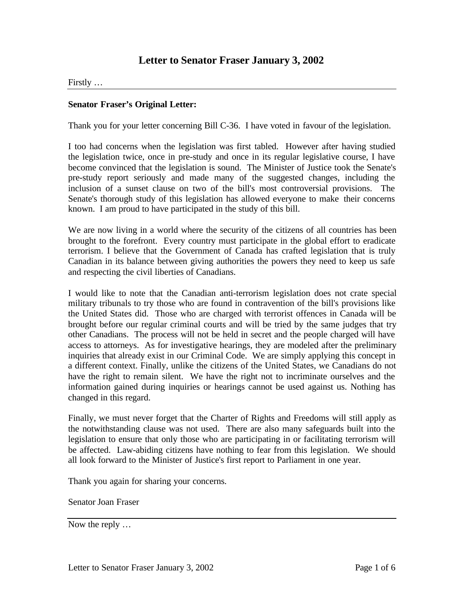# **Letter to Senator Fraser January 3, 2002**

Firstly …

#### **Senator Fraser's Original Letter:**

Thank you for your letter concerning Bill C-36. I have voted in favour of the legislation.

I too had concerns when the legislation was first tabled. However after having studied the legislation twice, once in pre-study and once in its regular legislative course, I have become convinced that the legislation is sound. The Minister of Justice took the Senate's pre-study report seriously and made many of the suggested changes, including the inclusion of a sunset clause on two of the bill's most controversial provisions. The Senate's thorough study of this legislation has allowed everyone to make their concerns known. I am proud to have participated in the study of this bill.

We are now living in a world where the security of the citizens of all countries has been brought to the forefront. Every country must participate in the global effort to eradicate terrorism. I believe that the Government of Canada has crafted legislation that is truly Canadian in its balance between giving authorities the powers they need to keep us safe and respecting the civil liberties of Canadians.

I would like to note that the Canadian anti-terrorism legislation does not crate special military tribunals to try those who are found in contravention of the bill's provisions like the United States did. Those who are charged with terrorist offences in Canada will be brought before our regular criminal courts and will be tried by the same judges that try other Canadians. The process will not be held in secret and the people charged will have access to attorneys. As for investigative hearings, they are modeled after the preliminary inquiries that already exist in our Criminal Code. We are simply applying this concept in a different context. Finally, unlike the citizens of the United States, we Canadians do not have the right to remain silent. We have the right not to incriminate ourselves and the information gained during inquiries or hearings cannot be used against us. Nothing has changed in this regard.

Finally, we must never forget that the Charter of Rights and Freedoms will still apply as the notwithstanding clause was not used. There are also many safeguards built into the legislation to ensure that only those who are participating in or facilitating terrorism will be affected. Law-abiding citizens have nothing to fear from this legislation. We should all look forward to the Minister of Justice's first report to Parliament in one year.

Thank you again for sharing your concerns.

Senator Joan Fraser

Now the reply …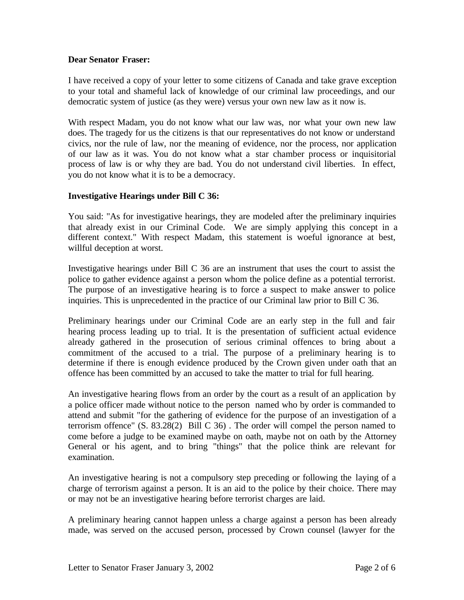### **Dear Senator Fraser:**

I have received a copy of your letter to some citizens of Canada and take grave exception to your total and shameful lack of knowledge of our criminal law proceedings, and our democratic system of justice (as they were) versus your own new law as it now is.

With respect Madam, you do not know what our law was, nor what your own new law does. The tragedy for us the citizens is that our representatives do not know or understand civics, nor the rule of law, nor the meaning of evidence, nor the process, nor application of our law as it was. You do not know what a star chamber process or inquisitorial process of law is or why they are bad. You do not understand civil liberties. In effect, you do not know what it is to be a democracy.

### **Investigative Hearings under Bill C 36:**

You said: "As for investigative hearings, they are modeled after the preliminary inquiries that already exist in our Criminal Code. We are simply applying this concept in a different context." With respect Madam, this statement is woeful ignorance at best, willful deception at worst.

Investigative hearings under Bill C 36 are an instrument that uses the court to assist the police to gather evidence against a person whom the police define as a potential terrorist. The purpose of an investigative hearing is to force a suspect to make answer to police inquiries. This is unprecedented in the practice of our Criminal law prior to Bill C 36.

Preliminary hearings under our Criminal Code are an early step in the full and fair hearing process leading up to trial. It is the presentation of sufficient actual evidence already gathered in the prosecution of serious criminal offences to bring about a commitment of the accused to a trial. The purpose of a preliminary hearing is to determine if there is enough evidence produced by the Crown given under oath that an offence has been committed by an accused to take the matter to trial for full hearing.

An investigative hearing flows from an order by the court as a result of an application by a police officer made without notice to the person named who by order is commanded to attend and submit "for the gathering of evidence for the purpose of an investigation of a terrorism offence" (S. 83.28(2) Bill C 36) . The order will compel the person named to come before a judge to be examined maybe on oath, maybe not on oath by the Attorney General or his agent, and to bring "things" that the police think are relevant for examination.

An investigative hearing is not a compulsory step preceding or following the laying of a charge of terrorism against a person. It is an aid to the police by their choice. There may or may not be an investigative hearing before terrorist charges are laid.

A preliminary hearing cannot happen unless a charge against a person has been already made, was served on the accused person, processed by Crown counsel (lawyer for the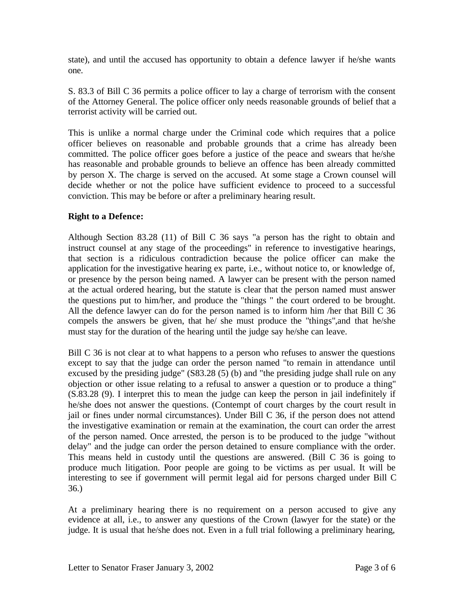state), and until the accused has opportunity to obtain a defence lawyer if he/she wants one.

S. 83.3 of Bill C 36 permits a police officer to lay a charge of terrorism with the consent of the Attorney General. The police officer only needs reasonable grounds of belief that a terrorist activity will be carried out.

This is unlike a normal charge under the Criminal code which requires that a police officer believes on reasonable and probable grounds that a crime has already been committed. The police officer goes before a justice of the peace and swears that he/she has reasonable and probable grounds to believe an offence has been already committed by person X. The charge is served on the accused. At some stage a Crown counsel will decide whether or not the police have sufficient evidence to proceed to a successful conviction. This may be before or after a preliminary hearing result.

## **Right to a Defence:**

Although Section 83.28 (11) of Bill C 36 says "a person has the right to obtain and instruct counsel at any stage of the proceedings" in reference to investigative hearings, that section is a ridiculous contradiction because the police officer can make the application for the investigative hearing ex parte, i.e., without notice to, or knowledge of, or presence by the person being named. A lawyer can be present with the person named at the actual ordered hearing, but the statute is clear that the person named must answer the questions put to him/her, and produce the "things " the court ordered to be brought. All the defence lawyer can do for the person named is to inform him /her that Bill C 36 compels the answers be given, that he/ she must produce the "things",and that he/she must stay for the duration of the hearing until the judge say he/she can leave.

Bill C 36 is not clear at to what happens to a person who refuses to answer the questions except to say that the judge can order the person named "to remain in attendance until excused by the presiding judge" (S83.28 (5) (b) and "the presiding judge shall rule on any objection or other issue relating to a refusal to answer a question or to produce a thing" (S.83.28 (9). I interpret this to mean the judge can keep the person in jail indefinitely if he/she does not answer the questions. (Contempt of court charges by the court result in jail or fines under normal circumstances). Under Bill C 36, if the person does not attend the investigative examination or remain at the examination, the court can order the arrest of the person named. Once arrested, the person is to be produced to the judge "without delay" and the judge can order the person detained to ensure compliance with the order. This means held in custody until the questions are answered. (Bill C 36 is going to produce much litigation. Poor people are going to be victims as per usual. It will be interesting to see if government will permit legal aid for persons charged under Bill C 36.)

At a preliminary hearing there is no requirement on a person accused to give any evidence at all, i.e., to answer any questions of the Crown (lawyer for the state) or the judge. It is usual that he/she does not. Even in a full trial following a preliminary hearing,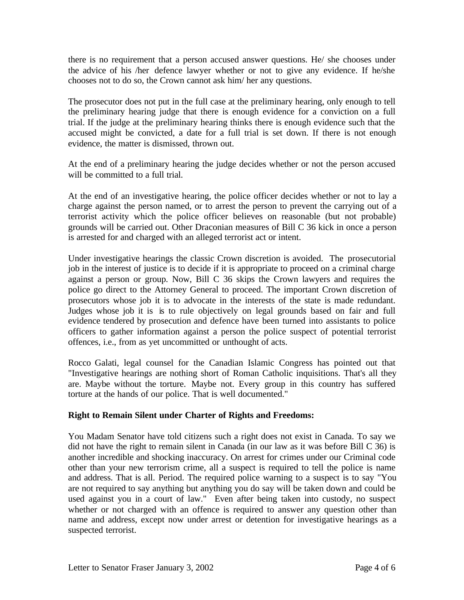there is no requirement that a person accused answer questions. He/ she chooses under the advice of his /her defence lawyer whether or not to give any evidence. If he/she chooses not to do so, the Crown cannot ask him/ her any questions.

The prosecutor does not put in the full case at the preliminary hearing, only enough to tell the preliminary hearing judge that there is enough evidence for a conviction on a full trial. If the judge at the preliminary hearing thinks there is enough evidence such that the accused might be convicted, a date for a full trial is set down. If there is not enough evidence, the matter is dismissed, thrown out.

At the end of a preliminary hearing the judge decides whether or not the person accused will be committed to a full trial.

At the end of an investigative hearing, the police officer decides whether or not to lay a charge against the person named, or to arrest the person to prevent the carrying out of a terrorist activity which the police officer believes on reasonable (but not probable) grounds will be carried out. Other Draconian measures of Bill C 36 kick in once a person is arrested for and charged with an alleged terrorist act or intent.

Under investigative hearings the classic Crown discretion is avoided. The prosecutorial job in the interest of justice is to decide if it is appropriate to proceed on a criminal charge against a person or group. Now, Bill C 36 skips the Crown lawyers and requires the police go direct to the Attorney General to proceed. The important Crown discretion of prosecutors whose job it is to advocate in the interests of the state is made redundant. Judges whose job it is is to rule objectively on legal grounds based on fair and full evidence tendered by prosecution and defence have been turned into assistants to police officers to gather information against a person the police suspect of potential terrorist offences, i.e., from as yet uncommitted or unthought of acts.

Rocco Galati, legal counsel for the Canadian Islamic Congress has pointed out that "Investigative hearings are nothing short of Roman Catholic inquisitions. That's all they are. Maybe without the torture. Maybe not. Every group in this country has suffered torture at the hands of our police. That is well documented."

## **Right to Remain Silent under Charter of Rights and Freedoms:**

You Madam Senator have told citizens such a right does not exist in Canada. To say we did not have the right to remain silent in Canada (in our law as it was before Bill C 36) is another incredible and shocking inaccuracy. On arrest for crimes under our Criminal code other than your new terrorism crime, all a suspect is required to tell the police is name and address. That is all. Period. The required police warning to a suspect is to say "You are not required to say anything but anything you do say will be taken down and could be used against you in a court of law." Even after being taken into custody, no suspect whether or not charged with an offence is required to answer any question other than name and address, except now under arrest or detention for investigative hearings as a suspected terrorist.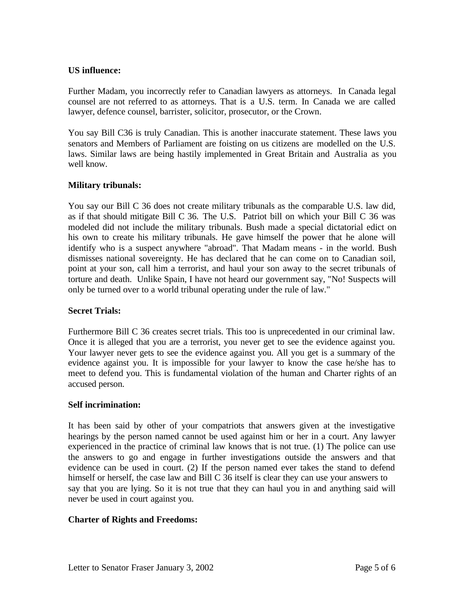## **US influence:**

Further Madam, you incorrectly refer to Canadian lawyers as attorneys. In Canada legal counsel are not referred to as attorneys. That is a U.S. term. In Canada we are called lawyer, defence counsel, barrister, solicitor, prosecutor, or the Crown.

You say Bill C36 is truly Canadian. This is another inaccurate statement. These laws you senators and Members of Parliament are foisting on us citizens are modelled on the U.S. laws. Similar laws are being hastily implemented in Great Britain and Australia as you well know.

## **Military tribunals:**

You say our Bill C 36 does not create military tribunals as the comparable U.S. law did, as if that should mitigate Bill C 36. The U.S. Patriot bill on which your Bill C 36 was modeled did not include the military tribunals. Bush made a special dictatorial edict on his own to create his military tribunals. He gave himself the power that he alone will identify who is a suspect anywhere "abroad". That Madam means - in the world. Bush dismisses national sovereignty. He has declared that he can come on to Canadian soil, point at your son, call him a terrorist, and haul your son away to the secret tribunals of torture and death. Unlike Spain, I have not heard our government say, "No! Suspects will only be turned over to a world tribunal operating under the rule of law."

### **Secret Trials:**

Furthermore Bill C 36 creates secret trials. This too is unprecedented in our criminal law. Once it is alleged that you are a terrorist, you never get to see the evidence against you. Your lawyer never gets to see the evidence against you. All you get is a summary of the evidence against you. It is impossible for your lawyer to know the case he/she has to meet to defend you. This is fundamental violation of the human and Charter rights of an accused person.

### **Self incrimination:**

It has been said by other of your compatriots that answers given at the investigative hearings by the person named cannot be used against him or her in a court. Any lawyer experienced in the practice of criminal law knows that is not true. (1) The police can use the answers to go and engage in further investigations outside the answers and that evidence can be used in court. (2) If the person named ever takes the stand to defend himself or herself, the case law and Bill C 36 itself is clear they can use your answers to say that you are lying. So it is not true that they can haul you in and anything said will never be used in court against you.

### **Charter of Rights and Freedoms:**